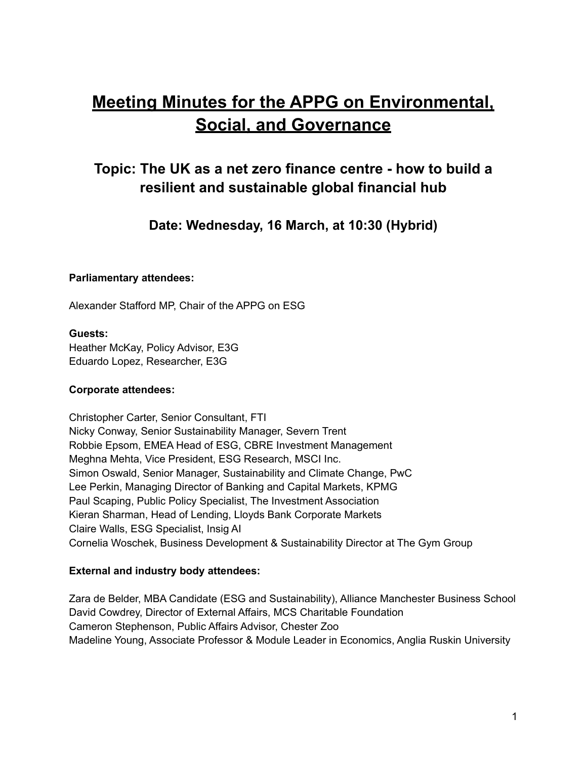# **Meeting Minutes for the APPG on Environmental, Social, and Governance**

# **Topic: The UK as a net zero finance centre - how to build a resilient and sustainable global financial hub**

**Date: Wednesday, 16 March, at 10:30 (Hybrid)**

#### **Parliamentary attendees:**

Alexander Stafford MP, Chair of the APPG on ESG

#### **Guests:**

Heather McKay, Policy Advisor, E3G Eduardo Lopez, Researcher, E3G

#### **Corporate attendees:**

Christopher Carter, Senior Consultant, FTI Nicky Conway, Senior Sustainability Manager, Severn Trent Robbie Epsom, EMEA Head of ESG, CBRE Investment Management Meghna Mehta, Vice President, ESG Research, MSCI Inc. Simon Oswald, Senior Manager, Sustainability and Climate Change, PwC Lee Perkin, Managing Director of Banking and Capital Markets, KPMG Paul Scaping, Public Policy Specialist, The Investment Association Kieran Sharman, Head of Lending, Lloyds Bank Corporate Markets Claire Walls, ESG Specialist, Insig AI Cornelia Woschek, Business Development & Sustainability Director at The Gym Group

#### **External and industry body attendees:**

Zara de Belder, MBA Candidate (ESG and Sustainability), Alliance Manchester Business School David Cowdrey, Director of External Affairs, MCS Charitable Foundation Cameron Stephenson, Public Affairs Advisor, Chester Zoo Madeline Young, Associate Professor & Module Leader in Economics, Anglia Ruskin University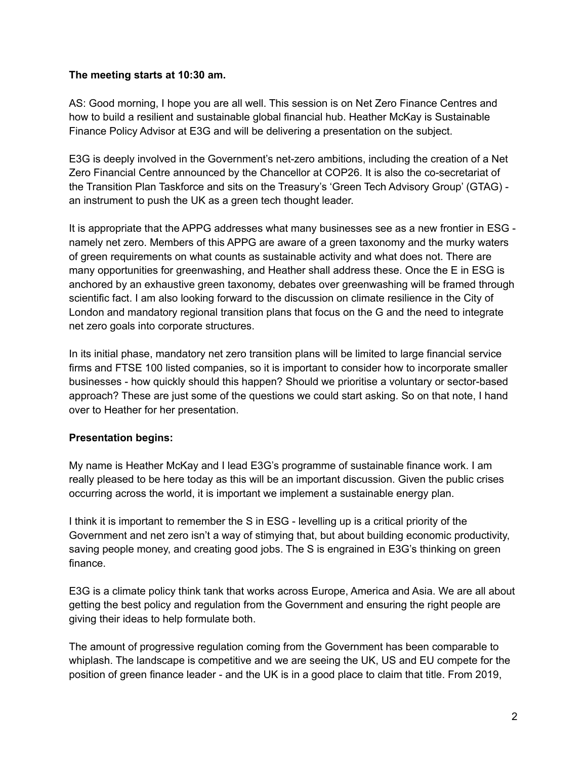#### **The meeting starts at 10:30 am.**

AS: Good morning, I hope you are all well. This session is on Net Zero Finance Centres and how to build a resilient and sustainable global financial hub. Heather McKay is Sustainable Finance Policy Advisor at E3G and will be delivering a presentation on the subject.

E3G is deeply involved in the Government's net-zero ambitions, including the creation of a Net Zero Financial Centre announced by the Chancellor at COP26. It is also the co-secretariat of the Transition Plan Taskforce and sits on the Treasury's 'Green Tech Advisory Group' (GTAG) an instrument to push the UK as a green tech thought leader.

It is appropriate that the APPG addresses what many businesses see as a new frontier in ESG namely net zero. Members of this APPG are aware of a green taxonomy and the murky waters of green requirements on what counts as sustainable activity and what does not. There are many opportunities for greenwashing, and Heather shall address these. Once the E in ESG is anchored by an exhaustive green taxonomy, debates over greenwashing will be framed through scientific fact. I am also looking forward to the discussion on climate resilience in the City of London and mandatory regional transition plans that focus on the G and the need to integrate net zero goals into corporate structures.

In its initial phase, mandatory net zero transition plans will be limited to large financial service firms and FTSE 100 listed companies, so it is important to consider how to incorporate smaller businesses - how quickly should this happen? Should we prioritise a voluntary or sector-based approach? These are just some of the questions we could start asking. So on that note, I hand over to Heather for her presentation.

## **Presentation begins:**

My name is Heather McKay and I lead E3G's programme of sustainable finance work. I am really pleased to be here today as this will be an important discussion. Given the public crises occurring across the world, it is important we implement a sustainable energy plan.

I think it is important to remember the S in ESG - levelling up is a critical priority of the Government and net zero isn't a way of stimying that, but about building economic productivity, saving people money, and creating good jobs. The S is engrained in E3G's thinking on green finance.

E3G is a climate policy think tank that works across Europe, America and Asia. We are all about getting the best policy and regulation from the Government and ensuring the right people are giving their ideas to help formulate both.

The amount of progressive regulation coming from the Government has been comparable to whiplash. The landscape is competitive and we are seeing the UK, US and EU compete for the position of green finance leader - and the UK is in a good place to claim that title. From 2019,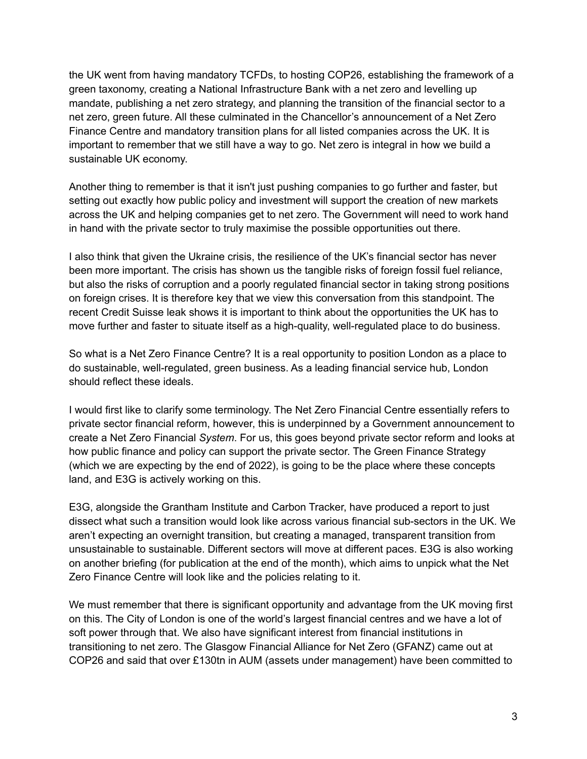the UK went from having mandatory TCFDs, to hosting COP26, establishing the framework of a green taxonomy, creating a National Infrastructure Bank with a net zero and levelling up mandate, publishing a net zero strategy, and planning the transition of the financial sector to a net zero, green future. All these culminated in the Chancellor's announcement of a Net Zero Finance Centre and mandatory transition plans for all listed companies across the UK. It is important to remember that we still have a way to go. Net zero is integral in how we build a sustainable UK economy.

Another thing to remember is that it isn't just pushing companies to go further and faster, but setting out exactly how public policy and investment will support the creation of new markets across the UK and helping companies get to net zero. The Government will need to work hand in hand with the private sector to truly maximise the possible opportunities out there.

I also think that given the Ukraine crisis, the resilience of the UK's financial sector has never been more important. The crisis has shown us the tangible risks of foreign fossil fuel reliance, but also the risks of corruption and a poorly regulated financial sector in taking strong positions on foreign crises. It is therefore key that we view this conversation from this standpoint. The recent Credit Suisse leak shows it is important to think about the opportunities the UK has to move further and faster to situate itself as a high-quality, well-regulated place to do business.

So what is a Net Zero Finance Centre? It is a real opportunity to position London as a place to do sustainable, well-regulated, green business. As a leading financial service hub, London should reflect these ideals.

I would first like to clarify some terminology. The Net Zero Financial Centre essentially refers to private sector financial reform, however, this is underpinned by a Government announcement to create a Net Zero Financial *System*. For us, this goes beyond private sector reform and looks at how public finance and policy can support the private sector. The Green Finance Strategy (which we are expecting by the end of 2022), is going to be the place where these concepts land, and E3G is actively working on this.

E3G, alongside the Grantham Institute and Carbon Tracker, have produced a report to just dissect what such a transition would look like across various financial sub-sectors in the UK. We aren't expecting an overnight transition, but creating a managed, transparent transition from unsustainable to sustainable. Different sectors will move at different paces. E3G is also working on another briefing (for publication at the end of the month), which aims to unpick what the Net Zero Finance Centre will look like and the policies relating to it.

We must remember that there is significant opportunity and advantage from the UK moving first on this. The City of London is one of the world's largest financial centres and we have a lot of soft power through that. We also have significant interest from financial institutions in transitioning to net zero. The Glasgow Financial Alliance for Net Zero (GFANZ) came out at COP26 and said that over £130tn in AUM (assets under management) have been committed to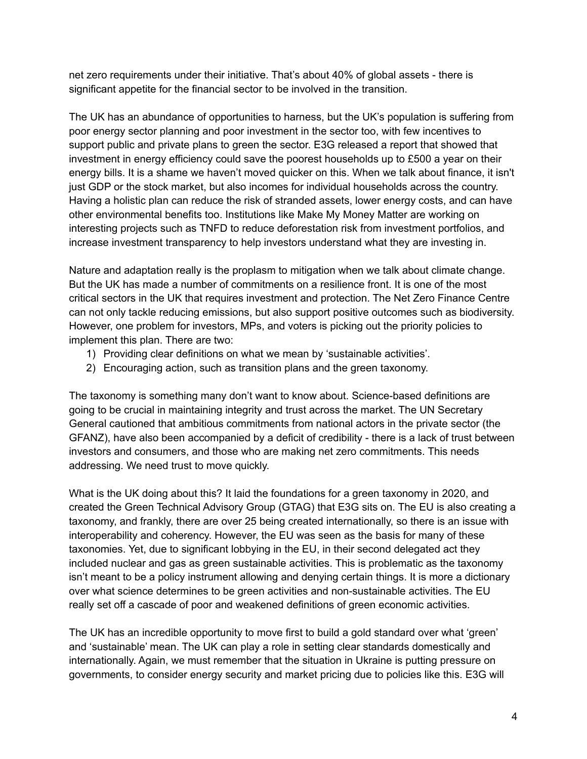net zero requirements under their initiative. That's about 40% of global assets - there is significant appetite for the financial sector to be involved in the transition.

The UK has an abundance of opportunities to harness, but the UK's population is suffering from poor energy sector planning and poor investment in the sector too, with few incentives to support public and private plans to green the sector. E3G released a report that showed that investment in energy efficiency could save the poorest households up to £500 a year on their energy bills. It is a shame we haven't moved quicker on this. When we talk about finance, it isn't just GDP or the stock market, but also incomes for individual households across the country. Having a holistic plan can reduce the risk of stranded assets, lower energy costs, and can have other environmental benefits too. Institutions like Make My Money Matter are working on interesting projects such as TNFD to reduce deforestation risk from investment portfolios, and increase investment transparency to help investors understand what they are investing in.

Nature and adaptation really is the proplasm to mitigation when we talk about climate change. But the UK has made a number of commitments on a resilience front. It is one of the most critical sectors in the UK that requires investment and protection. The Net Zero Finance Centre can not only tackle reducing emissions, but also support positive outcomes such as biodiversity. However, one problem for investors, MPs, and voters is picking out the priority policies to implement this plan. There are two:

- 1) Providing clear definitions on what we mean by 'sustainable activities'.
- 2) Encouraging action, such as transition plans and the green taxonomy.

The taxonomy is something many don't want to know about. Science-based definitions are going to be crucial in maintaining integrity and trust across the market. The UN Secretary General cautioned that ambitious commitments from national actors in the private sector (the GFANZ), have also been accompanied by a deficit of credibility - there is a lack of trust between investors and consumers, and those who are making net zero commitments. This needs addressing. We need trust to move quickly.

What is the UK doing about this? It laid the foundations for a green taxonomy in 2020, and created the Green Technical Advisory Group (GTAG) that E3G sits on. The EU is also creating a taxonomy, and frankly, there are over 25 being created internationally, so there is an issue with interoperability and coherency. However, the EU was seen as the basis for many of these taxonomies. Yet, due to significant lobbying in the EU, in their second delegated act they included nuclear and gas as green sustainable activities. This is problematic as the taxonomy isn't meant to be a policy instrument allowing and denying certain things. It is more a dictionary over what science determines to be green activities and non-sustainable activities. The EU really set off a cascade of poor and weakened definitions of green economic activities.

The UK has an incredible opportunity to move first to build a gold standard over what 'green' and 'sustainable' mean. The UK can play a role in setting clear standards domestically and internationally. Again, we must remember that the situation in Ukraine is putting pressure on governments, to consider energy security and market pricing due to policies like this. E3G will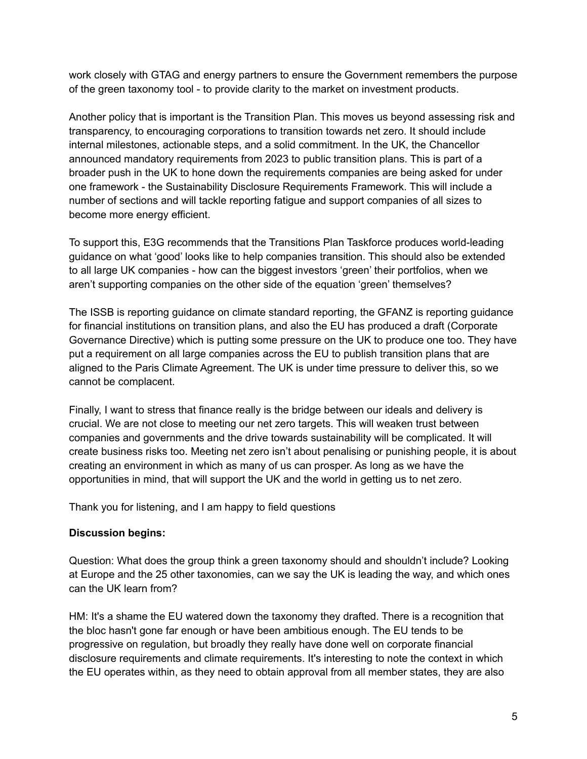work closely with GTAG and energy partners to ensure the Government remembers the purpose of the green taxonomy tool - to provide clarity to the market on investment products.

Another policy that is important is the Transition Plan. This moves us beyond assessing risk and transparency, to encouraging corporations to transition towards net zero. It should include internal milestones, actionable steps, and a solid commitment. In the UK, the Chancellor announced mandatory requirements from 2023 to public transition plans. This is part of a broader push in the UK to hone down the requirements companies are being asked for under one framework - the Sustainability Disclosure Requirements Framework. This will include a number of sections and will tackle reporting fatigue and support companies of all sizes to become more energy efficient.

To support this, E3G recommends that the Transitions Plan Taskforce produces world-leading guidance on what 'good' looks like to help companies transition. This should also be extended to all large UK companies - how can the biggest investors 'green' their portfolios, when we aren't supporting companies on the other side of the equation 'green' themselves?

The ISSB is reporting guidance on climate standard reporting, the GFANZ is reporting guidance for financial institutions on transition plans, and also the EU has produced a draft (Corporate Governance Directive) which is putting some pressure on the UK to produce one too. They have put a requirement on all large companies across the EU to publish transition plans that are aligned to the Paris Climate Agreement. The UK is under time pressure to deliver this, so we cannot be complacent.

Finally, I want to stress that finance really is the bridge between our ideals and delivery is crucial. We are not close to meeting our net zero targets. This will weaken trust between companies and governments and the drive towards sustainability will be complicated. It will create business risks too. Meeting net zero isn't about penalising or punishing people, it is about creating an environment in which as many of us can prosper. As long as we have the opportunities in mind, that will support the UK and the world in getting us to net zero.

Thank you for listening, and I am happy to field questions

## **Discussion begins:**

Question: What does the group think a green taxonomy should and shouldn't include? Looking at Europe and the 25 other taxonomies, can we say the UK is leading the way, and which ones can the UK learn from?

HM: It's a shame the EU watered down the taxonomy they drafted. There is a recognition that the bloc hasn't gone far enough or have been ambitious enough. The EU tends to be progressive on regulation, but broadly they really have done well on corporate financial disclosure requirements and climate requirements. It's interesting to note the context in which the EU operates within, as they need to obtain approval from all member states, they are also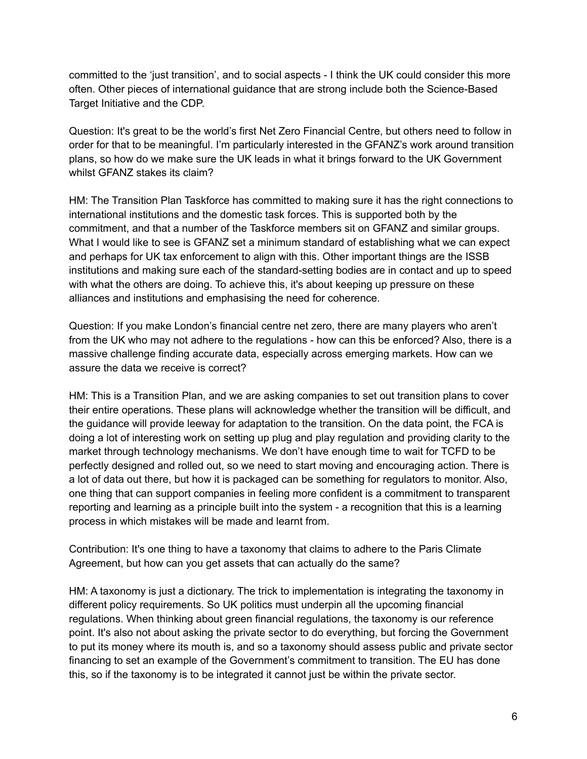committed to the 'just transition', and to social aspects - I think the UK could consider this more often. Other pieces of international guidance that are strong include both the Science-Based Target Initiative and the CDP.

Question: It's great to be the world's first Net Zero Financial Centre, but others need to follow in order for that to be meaningful. I'm particularly interested in the GFANZ's work around transition plans, so how do we make sure the UK leads in what it brings forward to the UK Government whilst GFANZ stakes its claim?

HM: The Transition Plan Taskforce has committed to making sure it has the right connections to international institutions and the domestic task forces. This is supported both by the commitment, and that a number of the Taskforce members sit on GFANZ and similar groups. What I would like to see is GFANZ set a minimum standard of establishing what we can expect and perhaps for UK tax enforcement to align with this. Other important things are the ISSB institutions and making sure each of the standard-setting bodies are in contact and up to speed with what the others are doing. To achieve this, it's about keeping up pressure on these alliances and institutions and emphasising the need for coherence.

Question: If you make London's financial centre net zero, there are many players who aren't from the UK who may not adhere to the regulations - how can this be enforced? Also, there is a massive challenge finding accurate data, especially across emerging markets. How can we assure the data we receive is correct?

HM: This is a Transition Plan, and we are asking companies to set out transition plans to cover their entire operations. These plans will acknowledge whether the transition will be difficult, and the guidance will provide leeway for adaptation to the transition. On the data point, the FCA is doing a lot of interesting work on setting up plug and play regulation and providing clarity to the market through technology mechanisms. We don't have enough time to wait for TCFD to be perfectly designed and rolled out, so we need to start moving and encouraging action. There is a lot of data out there, but how it is packaged can be something for regulators to monitor. Also, one thing that can support companies in feeling more confident is a commitment to transparent reporting and learning as a principle built into the system - a recognition that this is a learning process in which mistakes will be made and learnt from.

Contribution: It's one thing to have a taxonomy that claims to adhere to the Paris Climate Agreement, but how can you get assets that can actually do the same?

HM: A taxonomy is just a dictionary. The trick to implementation is integrating the taxonomy in different policy requirements. So UK politics must underpin all the upcoming financial regulations. When thinking about green financial regulations, the taxonomy is our reference point. It's also not about asking the private sector to do everything, but forcing the Government to put its money where its mouth is, and so a taxonomy should assess public and private sector financing to set an example of the Government's commitment to transition. The EU has done this, so if the taxonomy is to be integrated it cannot just be within the private sector.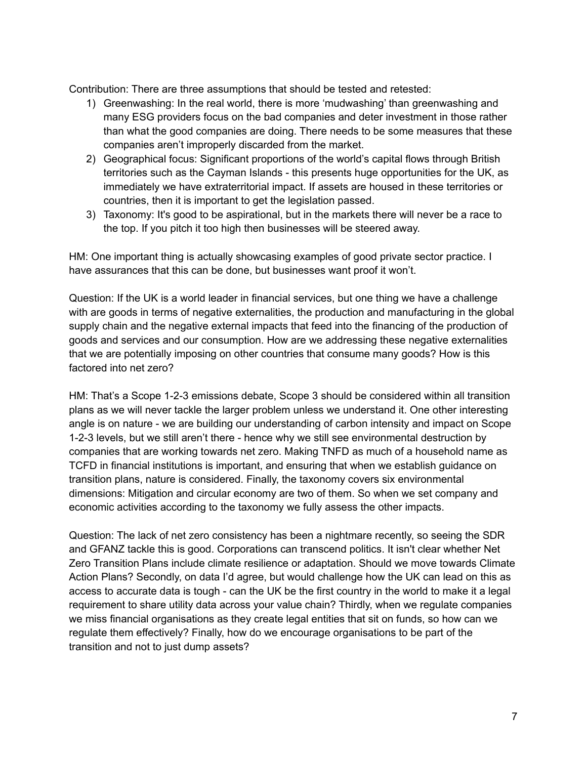Contribution: There are three assumptions that should be tested and retested:

- 1) Greenwashing: In the real world, there is more 'mudwashing' than greenwashing and many ESG providers focus on the bad companies and deter investment in those rather than what the good companies are doing. There needs to be some measures that these companies aren't improperly discarded from the market.
- 2) Geographical focus: Significant proportions of the world's capital flows through British territories such as the Cayman Islands - this presents huge opportunities for the UK, as immediately we have extraterritorial impact. If assets are housed in these territories or countries, then it is important to get the legislation passed.
- 3) Taxonomy: It's good to be aspirational, but in the markets there will never be a race to the top. If you pitch it too high then businesses will be steered away.

HM: One important thing is actually showcasing examples of good private sector practice. I have assurances that this can be done, but businesses want proof it won't.

Question: If the UK is a world leader in financial services, but one thing we have a challenge with are goods in terms of negative externalities, the production and manufacturing in the global supply chain and the negative external impacts that feed into the financing of the production of goods and services and our consumption. How are we addressing these negative externalities that we are potentially imposing on other countries that consume many goods? How is this factored into net zero?

HM: That's a Scope 1-2-3 emissions debate, Scope 3 should be considered within all transition plans as we will never tackle the larger problem unless we understand it. One other interesting angle is on nature - we are building our understanding of carbon intensity and impact on Scope 1-2-3 levels, but we still aren't there - hence why we still see environmental destruction by companies that are working towards net zero. Making TNFD as much of a household name as TCFD in financial institutions is important, and ensuring that when we establish guidance on transition plans, nature is considered. Finally, the taxonomy covers six environmental dimensions: Mitigation and circular economy are two of them. So when we set company and economic activities according to the taxonomy we fully assess the other impacts.

Question: The lack of net zero consistency has been a nightmare recently, so seeing the SDR and GFANZ tackle this is good. Corporations can transcend politics. It isn't clear whether Net Zero Transition Plans include climate resilience or adaptation. Should we move towards Climate Action Plans? Secondly, on data I'd agree, but would challenge how the UK can lead on this as access to accurate data is tough - can the UK be the first country in the world to make it a legal requirement to share utility data across your value chain? Thirdly, when we regulate companies we miss financial organisations as they create legal entities that sit on funds, so how can we regulate them effectively? Finally, how do we encourage organisations to be part of the transition and not to just dump assets?